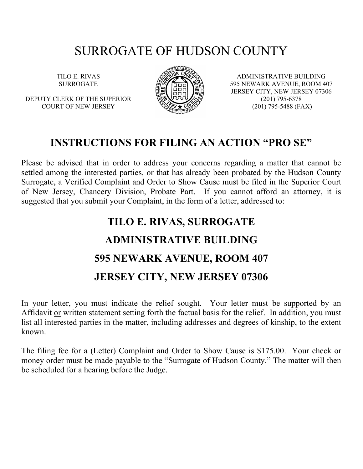## SURROGATE OF HUDSON COUNTY

TILO E. RIVAS SURROGATE

DEPUTY CLERK OF THE SUPERIOR COURT OF NEW JERSEY



ADMINISTRATIVE BUILDING 595 NEWARK AVENUE, ROOM 407 JERSEY CITY, NEW JERSEY 07306 (201) 795-6378 (201) 795-5488 (FAX)

### INSTRUCTIONS FOR FILING AN ACTION "PRO SE"

Please be advised that in order to address your concerns regarding a matter that cannot be settled among the interested parties, or that has already been probated by the Hudson County Surrogate, a Verified Complaint and Order to Show Cause must be filed in the Superior Court of New Jersey, Chancery Division, Probate Part. If you cannot afford an attorney, it is suggested that you submit your Complaint, in the form of a letter, addressed to:

# TILO E. RIVAS, SURROGATE ADMINISTRATIVE BUILDING 595 NEWARK AVENUE, ROOM 407 JERSEY CITY, NEW JERSEY 07306

In your letter, you must indicate the relief sought. Your letter must be supported by an Affidavit or written statement setting forth the factual basis for the relief. In addition, you must list all interested parties in the matter, including addresses and degrees of kinship, to the extent known.

The filing fee for a (Letter) Complaint and Order to Show Cause is \$175.00. Your check or money order must be made payable to the "Surrogate of Hudson County." The matter will then be scheduled for a hearing before the Judge.